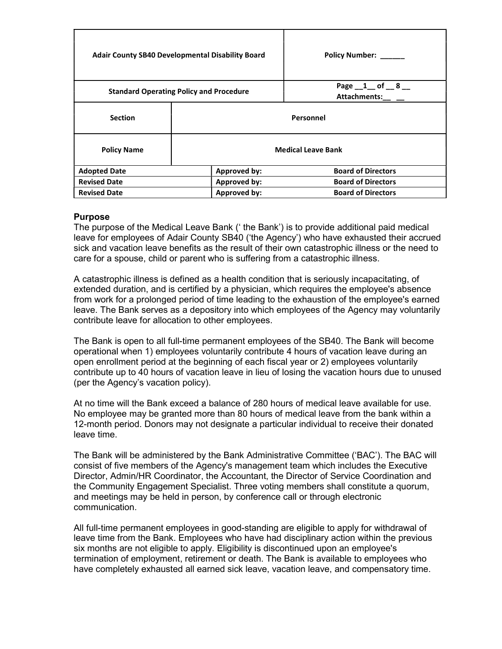| <b>Adair County SB40 Developmental Disability Board</b> |                           | Policy Number: ______                         |
|---------------------------------------------------------|---------------------------|-----------------------------------------------|
| <b>Standard Operating Policy and Procedure</b>          |                           | Page $\_1$ of $\_8$ $\_$<br>Attachments: __ _ |
| <b>Section</b>                                          | Personnel                 |                                               |
| <b>Policy Name</b>                                      | <b>Medical Leave Bank</b> |                                               |
| <b>Adopted Date</b>                                     | Approved by:              | <b>Board of Directors</b>                     |
| <b>Revised Date</b>                                     | Approved by:              | <b>Board of Directors</b>                     |
| <b>Revised Date</b>                                     | Approved by:              | <b>Board of Directors</b>                     |

## Purpose

The purpose of the Medical Leave Bank (' the Bank') is to provide additional paid medical leave for employees of Adair County SB40 ('the Agency') who have exhausted their accrued sick and vacation leave benefits as the result of their own catastrophic illness or the need to care for a spouse, child or parent who is suffering from a catastrophic illness.

A catastrophic illness is defined as a health condition that is seriously incapacitating, of extended duration, and is certified by a physician, which requires the employee's absence from work for a prolonged period of time leading to the exhaustion of the employee's earned leave. The Bank serves as a depository into which employees of the Agency may voluntarily contribute leave for allocation to other employees.

The Bank is open to all full-time permanent employees of the SB40. The Bank will become operational when 1) employees voluntarily contribute 4 hours of vacation leave during an open enrollment period at the beginning of each fiscal year or 2) employees voluntarily contribute up to 40 hours of vacation leave in lieu of losing the vacation hours due to unused (per the Agency's vacation policy).

At no time will the Bank exceed a balance of 280 hours of medical leave available for use. No employee may be granted more than 80 hours of medical leave from the bank within a 12-month period. Donors may not designate a particular individual to receive their donated leave time.

The Bank will be administered by the Bank Administrative Committee ('BAC'). The BAC will consist of five members of the Agency's management team which includes the Executive Director, Admin/HR Coordinator, the Accountant, the Director of Service Coordination and the Community Engagement Specialist. Three voting members shall constitute a quorum, and meetings may be held in person, by conference call or through electronic communication.

All full-time permanent employees in good-standing are eligible to apply for withdrawal of leave time from the Bank. Employees who have had disciplinary action within the previous six months are not eligible to apply. Eligibility is discontinued upon an employee's termination of employment, retirement or death. The Bank is available to employees who have completely exhausted all earned sick leave, vacation leave, and compensatory time.